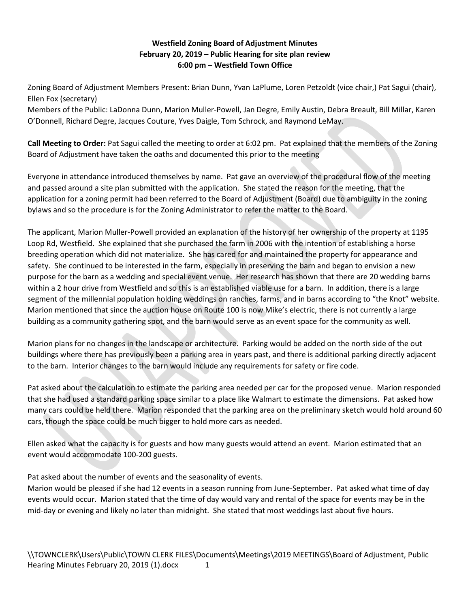## **Westfield Zoning Board of Adjustment Minutes February 20, 2019 – Public Hearing for site plan review 6:00 pm – Westfield Town Office**

Zoning Board of Adjustment Members Present: Brian Dunn, Yvan LaPlume, Loren Petzoldt (vice chair,) Pat Sagui (chair), Ellen Fox (secretary)

Members of the Public: LaDonna Dunn, Marion Muller-Powell, Jan Degre, Emily Austin, Debra Breault, Bill Millar, Karen O'Donnell, Richard Degre, Jacques Couture, Yves Daigle, Tom Schrock, and Raymond LeMay.

**Call Meeting to Order:** Pat Sagui called the meeting to order at 6:02 pm. Pat explained that the members of the Zoning Board of Adjustment have taken the oaths and documented this prior to the meeting

Everyone in attendance introduced themselves by name. Pat gave an overview of the procedural flow of the meeting and passed around a site plan submitted with the application. She stated the reason for the meeting, that the application for a zoning permit had been referred to the Board of Adjustment (Board) due to ambiguity in the zoning bylaws and so the procedure is for the Zoning Administrator to refer the matter to the Board.

The applicant, Marion Muller-Powell provided an explanation of the history of her ownership of the property at 1195 Loop Rd, Westfield. She explained that she purchased the farm in 2006 with the intention of establishing a horse breeding operation which did not materialize. She has cared for and maintained the property for appearance and safety. She continued to be interested in the farm, especially in preserving the barn and began to envision a new purpose for the barn as a wedding and special event venue. Her research has shown that there are 20 wedding barns within a 2 hour drive from Westfield and so this is an established viable use for a barn. In addition, there is a large segment of the millennial population holding weddings on ranches, farms, and in barns according to "the Knot" website. Marion mentioned that since the auction house on Route 100 is now Mike's electric, there is not currently a large building as a community gathering spot, and the barn would serve as an event space for the community as well.

Marion plans for no changes in the landscape or architecture. Parking would be added on the north side of the out buildings where there has previously been a parking area in years past, and there is additional parking directly adjacent to the barn. Interior changes to the barn would include any requirements for safety or fire code.

Pat asked about the calculation to estimate the parking area needed per car for the proposed venue. Marion responded that she had used a standard parking space similar to a place like Walmart to estimate the dimensions. Pat asked how many cars could be held there. Marion responded that the parking area on the preliminary sketch would hold around 60 cars, though the space could be much bigger to hold more cars as needed.

Ellen asked what the capacity is for guests and how many guests would attend an event. Marion estimated that an event would accommodate 100-200 guests.

Pat asked about the number of events and the seasonality of events.

Marion would be pleased if she had 12 events in a season running from June-September. Pat asked what time of day events would occur. Marion stated that the time of day would vary and rental of the space for events may be in the mid-day or evening and likely no later than midnight. She stated that most weddings last about five hours.

\\TOWNCLERK\Users\Public\TOWN CLERK FILES\Documents\Meetings\2019 MEETINGS\Board of Adjustment, Public Hearing Minutes February 20, 2019 (1).docx 1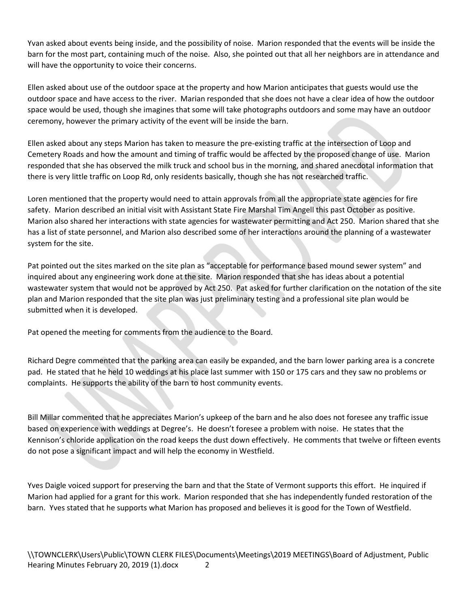Yvan asked about events being inside, and the possibility of noise. Marion responded that the events will be inside the barn for the most part, containing much of the noise. Also, she pointed out that all her neighbors are in attendance and will have the opportunity to voice their concerns.

Ellen asked about use of the outdoor space at the property and how Marion anticipates that guests would use the outdoor space and have access to the river. Marian responded that she does not have a clear idea of how the outdoor space would be used, though she imagines that some will take photographs outdoors and some may have an outdoor ceremony, however the primary activity of the event will be inside the barn.

Ellen asked about any steps Marion has taken to measure the pre-existing traffic at the intersection of Loop and Cemetery Roads and how the amount and timing of traffic would be affected by the proposed change of use. Marion responded that she has observed the milk truck and school bus in the morning, and shared anecdotal information that there is very little traffic on Loop Rd, only residents basically, though she has not researched traffic.

Loren mentioned that the property would need to attain approvals from all the appropriate state agencies for fire safety. Marion described an initial visit with Assistant State Fire Marshal Tim Angell this past October as positive. Marion also shared her interactions with state agencies for wastewater permitting and Act 250. Marion shared that she has a list of state personnel, and Marion also described some of her interactions around the planning of a wastewater system for the site.

Pat pointed out the sites marked on the site plan as "acceptable for performance based mound sewer system" and inquired about any engineering work done at the site. Marion responded that she has ideas about a potential wastewater system that would not be approved by Act 250. Pat asked for further clarification on the notation of the site plan and Marion responded that the site plan was just preliminary testing and a professional site plan would be submitted when it is developed.

Pat opened the meeting for comments from the audience to the Board.

Richard Degre commented that the parking area can easily be expanded, and the barn lower parking area is a concrete pad. He stated that he held 10 weddings at his place last summer with 150 or 175 cars and they saw no problems or complaints. He supports the ability of the barn to host community events.

Bill Millar commented that he appreciates Marion's upkeep of the barn and he also does not foresee any traffic issue based on experience with weddings at Degree's. He doesn't foresee a problem with noise. He states that the Kennison's chloride application on the road keeps the dust down effectively. He comments that twelve or fifteen events do not pose a significant impact and will help the economy in Westfield.

Yves Daigle voiced support for preserving the barn and that the State of Vermont supports this effort. He inquired if Marion had applied for a grant for this work. Marion responded that she has independently funded restoration of the barn. Yves stated that he supports what Marion has proposed and believes it is good for the Town of Westfield.